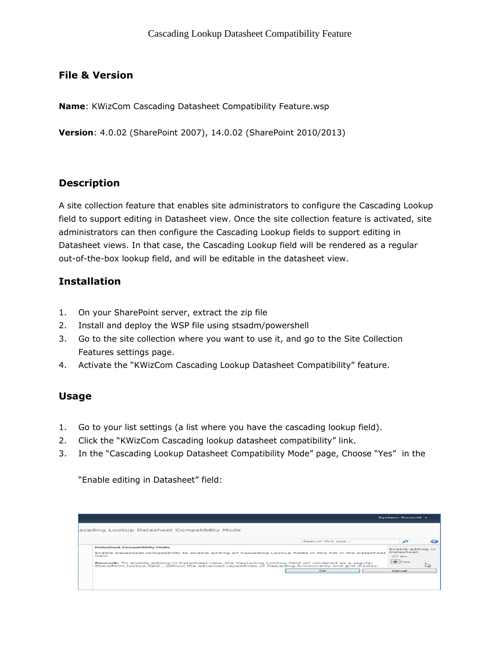# File & Version

Name: KWizCom Cascading Datasheet Compatibility Feature.wsp

Version: 4.0.02 (SharePoint 2007), 14.0.02 (SharePoint 2010/2013)

## Description

A site collection feature that enables site administrators to configure the Cascading Lookup field to support editing in Datasheet view. Once the site collection feature is activated, site administrators can then configure the Cascading Lookup fields to support editing in Datasheet views. In that case, the Cascading Lookup field will be rendered as a regular out-of-the-box lookup field, and will be editable in the datasheet view.

## Installation

- 1. On your SharePoint server, extract the zip file
- 2. Install and deploy the WSP file using stsadm/powershell
- 3. Go to the site collection where you want to use it, and go to the Site Collection Features settings page.
- 4. Activate the "KWizCom Cascading Lookup Datasheet Compatibility" feature.

## Usage

- 1. Go to your list settings (a list where you have the cascading lookup field).
- 2. Click the "KWizCom Cascading lookup datasheet compatibility" link.
- 3. In the "Cascading Lookup Datasheet Compatibility Mode" page, Choose "Yes" in the

"Enable editing in Datasheet" field:

|                                                                                                                                                                                                                                                                                                                                                                        |                  | System Account -                                         |    |
|------------------------------------------------------------------------------------------------------------------------------------------------------------------------------------------------------------------------------------------------------------------------------------------------------------------------------------------------------------------------|------------------|----------------------------------------------------------|----|
| iscading Lookup Datasheet Compatibility Mode                                                                                                                                                                                                                                                                                                                           |                  |                                                          |    |
|                                                                                                                                                                                                                                                                                                                                                                        | Search this site | $\mathbf{P}$                                             |    |
| Datasheet Compatibility Mode<br>Enable Datasheet compatibility to enable editing all Cascading Lookup fields in this list in the Datasheet<br>wikews.<br>Remark: To enable editing in Datasheet view, the Cascading Lookup field will rendered as a regular<br>SharePoint lookup field, without the advanced capabilities of Cascading functionality and grid display. |                  | Enable editing in<br>Datasheet<br>0.140<br>$\bullet$ Yes | ি≥ |
|                                                                                                                                                                                                                                                                                                                                                                        | OK               | Cancel                                                   |    |